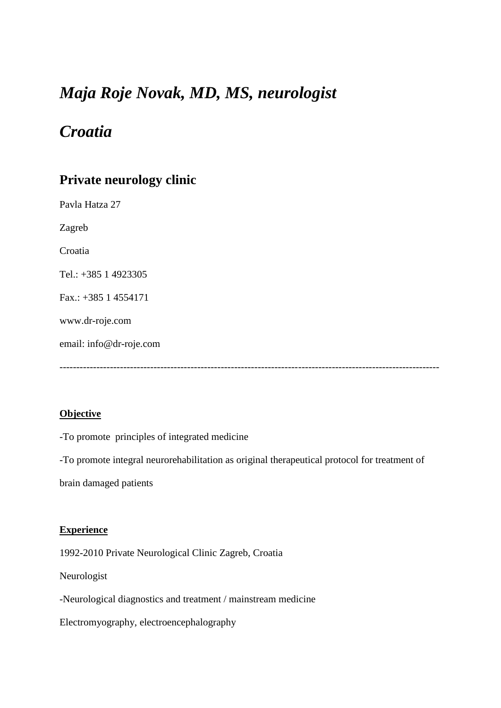# *Maja Roje Novak, MD, MS, neurologist*

# *Croatia*

# **Private neurology clinic**

Pavla Hatza 27 Zagreb Croatia Tel.: +385 1 4923305 Fax.: +385 1 4554171 www.dr-roje.com email: info@dr-roje.com -----------------------------------------------------------------------------------------------------------------

## **Objective**

-To promote principles of integrated medicine

-To promote integral neurorehabilitation as original therapeutical protocol for treatment of

brain damaged patients

### **Experience**

1992-2010 Private Neurological Clinic Zagreb, Croatia

Neurologist

-Neurological diagnostics and treatment / mainstream medicine

Electromyography, electroencephalography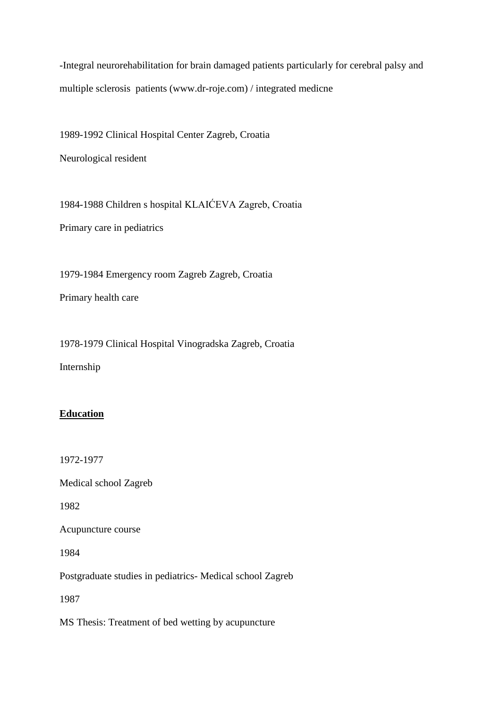-Integral neurorehabilitation for brain damaged patients particularly for cerebral palsy and multiple sclerosis patients (www.dr-roje.com) / integrated medicne

1989-1992 Clinical Hospital Center Zagreb, Croatia

Neurological resident

1984-1988 Children s hospital KLAIĆEVA Zagreb, Croatia Primary care in pediatrics

1979-1984 Emergency room Zagreb Zagreb, Croatia

Primary health care

1978-1979 Clinical Hospital Vinogradska Zagreb, Croatia Internship

### **Education**

1972-1977

Medical school Zagreb

1982

Acupuncture course

1984

Postgraduate studies in pediatrics- Medical school Zagreb

1987

MS Thesis: Treatment of bed wetting by acupuncture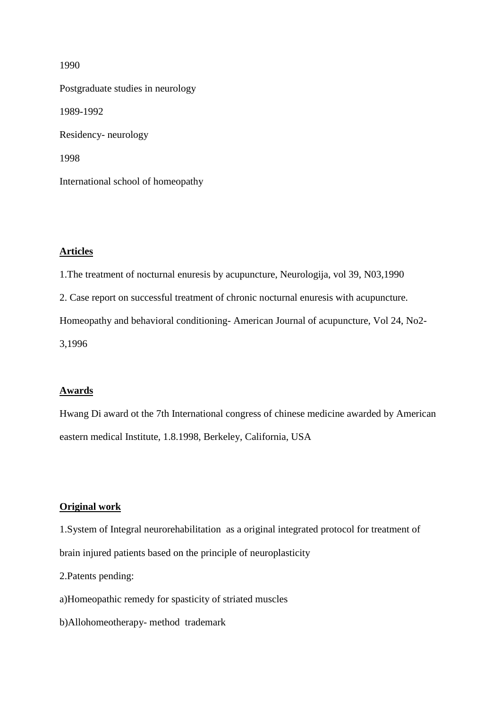Postgraduate studies in neurology 1989-1992 Residency- neurology 1998 International school of homeopathy

#### **Articles**

1.The treatment of nocturnal enuresis by acupuncture, Neurologija, vol 39, N03,1990

2. Case report on successful treatment of chronic nocturnal enuresis with acupuncture.

Homeopathy and behavioral conditioning- American Journal of acupuncture, Vol 24, No2-

3,1996

### **Awards**

Hwang Di award ot the 7th International congress of chinese medicine awarded by American eastern medical Institute, 1.8.1998, Berkeley, California, USA

#### **Original work**

1.System of Integral neurorehabilitation as a original integrated protocol for treatment of brain injured patients based on the principle of neuroplasticity

2.Patents pending:

a)Homeopathic remedy for spasticity of striated muscles

b)Allohomeotherapy- method trademark

#### 1990